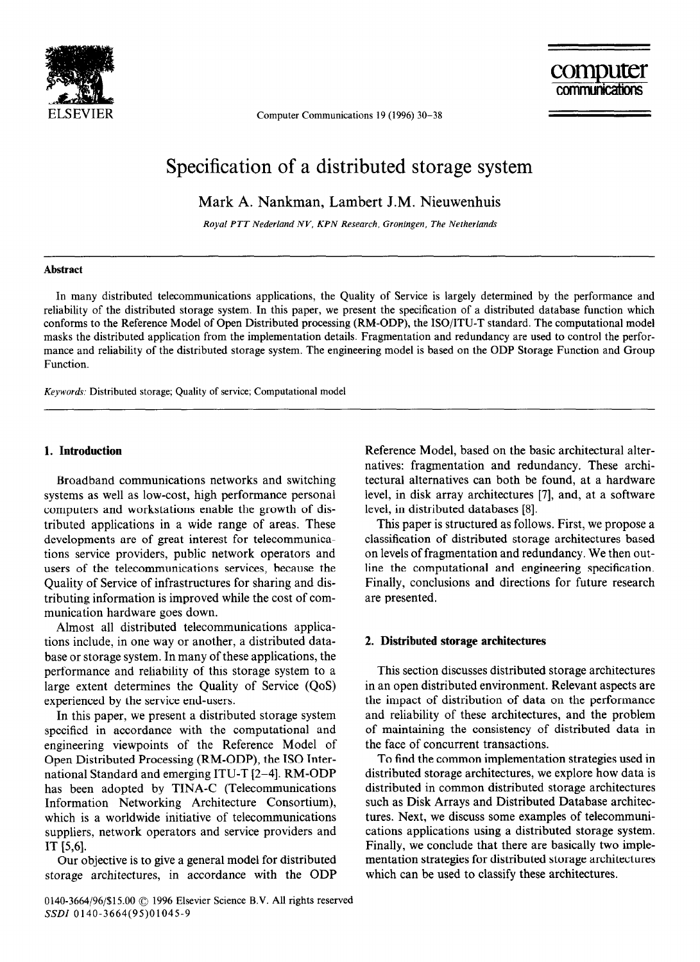

ELSEVIER Computer Communications 19 (1996) 30-38

# Specification of a distributed storage system

Mark A. Nankman, Lambert J.M. Nieuwenhuis

*Royal PTT Nederland NV, KPN Research, Groningen, The Netherlands* 

#### **Abstract**

In many distributed telecommunications applications, the Quality of Service is largely determined by the performance and reliability of the distributed storage system. In this paper, we present the specification of a distributed database function which conforms to the Reference Model of Open Distributed processing (RM-ODP), the ISO/ITU-T standard. The computational model masks the distributed application from the implementation details. Fragmentation and redundancy are used to control the performance and reliability of the distributed storage system. The engineering model is based on the ODP Storage Function and Group Function.

*Keywords:* Distributed storage; Quality of service; Computational model

### **1. Introduction**

Broadband communications networks and switching systems as well as low-cost, high performance personal computers and workstations enable the growth of distributed applications in a wide range of areas. These developments are of great interest for telecommunications service providers, public network operators and users of the telecommunications services, because the Quality of Service of infrastructures for sharing and distributing information is improved while the cost of communication hardware goes down.

Almost all distributed telecommunications applications include, in one way or another, a distributed database or storage system. In many of these applications, the performance and reliability of this storage system to a large extent determines the Quality of Service (QoS) experienced by the service end-users.

In this paper, we present a distributed storage system specified in accordance with the computational and engineering viewpoints of the Reference Model of Open Distributed Processing (RM-ODP), the IS0 International Standard and emerging ITU-T [2-41. RM-ODP has been adopted by TINA-C (Telecommunications Information Networking Architecture Consortium), which is a worldwide initiative of telecommunications suppliers, network operators and service providers and IT [5,6].

Our objective is to give a general model for distributed storage architectures, in accordance with the ODP Reference Model, based on the basic architectural alternatives: fragmentation and redundancy. These architectural alternatives can both be found, at a hardware level, in disk array architectures [7], and, at a software level, in distributed databases [8].

This paper is structured as follows. First, we propose a classification of distributed storage architectures based on levels of fragmentation and redundancy. We then outline the computational and engineering specification. Finally, conclusions and directions for future research are presented.

#### 2. **Distributed storage architectures**

This section discusses distributed storage architectures in an open distributed environment. Relevant aspects are the impact of distribution of data on the performance and reliability of these architectures, and the problem of maintaining the consistency of distributed data in the face of concurrent transactions.

To find the common implementation strategies used in distributed storage architectures, we explore how data is distributed in common distributed storage architectures such as Disk Arrays and Distributed Database architectures. Next, we discuss some examples of telecommunications applications using a distributed storage system. Finally, we conclude that there are basically two implementation strategies for distributed storage architectures which can be used to classify these architectures.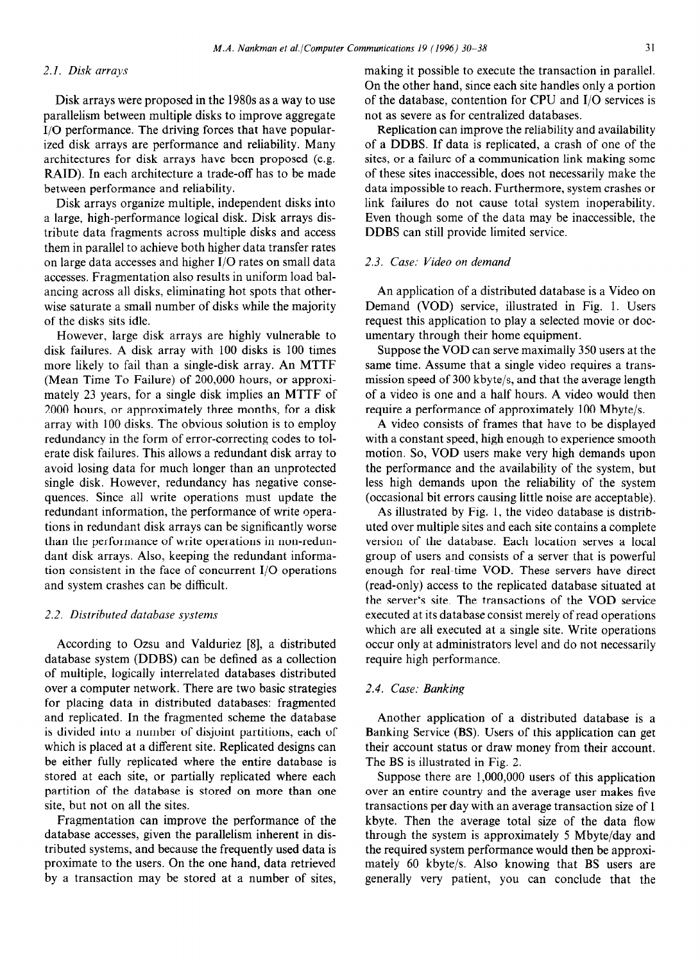#### *2.1. Disk arrays*

Disk arrays were proposed in the 1980s as a way to use parallelism between multiple disks to improve aggregate I/O performance. The driving forces that have popularized disk arrays are performance and reliability. Many architectures for disk arrays have been proposed (e.g. RAID). In each architecture a trade-off has to be made between performance and reliability.

Disk arrays organize multiple, independent disks into a large, high-performance logical disk. Disk arrays distribute data fragments across multiple disks and access them in parallel to achieve both higher data transfer rates on large data accesses and higher I/O rates on small data accesses. Fragmentation also results in uniform load balancing across all disks, eliminating hot spots that otherwise saturate a small number of disks while the majority of the disks sits idle.

However, large disk arrays are highly vulnerable to disk failures. A disk array with 100 disks is 100 times more likely to fail than a single-disk array. An MTTF (Mean Time To Failure) of 200,000 hours, or approximately 23 years, for a single disk implies an MTTF of 2000 hours, or approximately three months, for a disk array with 100 disks. The obvious solution is to employ redundancy in the form of error-correcting codes to tolerate disk failures. This allows a redundant disk array to avoid losing data for much longer than an unprotected single disk. However, redundancy has negative consequences. Since all write operations must update the redundant information, the performance of write operations in redundant disk arrays can be significantly worse than the performance of write operations in non-redundant disk arrays. Also, keeping the redundant information consistent in the face of concurrent I/O operations and system crashes can be difficult.

#### 2.2. *Distributed database systems*

According to Ozsu and Valduriez [8], a distributed database system (DDBS) can be defined as a collection of multiple, logically interrelated databases distributed over a computer network. There are two basic strategies for placing data in distributed databases: fragmented and replicated. In the fragmented scheme the database is divided into a number of disjoint partitions, each of which is placed at a different site. Replicated designs can be either fully replicated where the entire database is stored at each site, or partially replicated where each partition of the database is stored on more than one site, but not on all the sites.

Fragmentation can improve the performance of the database accesses, given the parallelism inherent in distributed systems, and because the frequently used data is proximate to the users. On the one hand, data retrieved by a transaction may be stored at a number of sites,

making it possible to execute the transaction in parallel. On the other hand, since each site handles only a portion of the database, contention for CPU and I/O services is not as severe as for centralized databases.

Replication can improve the reliability and availability of a DDBS. If data is replicated, a crash of one of the sites, or a failure of a communication link making some of these sites inaccessible, does not necessarily make the data impossible to reach. Furthermore, system crashes or link failures do not cause total system inoperability. Even though some of the data may be inaccessible, the DDBS can still provide limited service.

#### 2.3. *Case: Video on demand*

An application of a distributed database is a Video on Demand (VOD) service, illustrated in Fig. 1. Users request this application to play a selected movie or documentary through their home equipment.

Suppose the VOD can serve maximally 350 users at the same time. Assume that a single video requires a transmission speed of 300 kbyte/s, and that the average length of a video is one and a half hours. A video would then require a performance of approximately 100 Mbyte/s.

A video consists of frames that have to be displayed with a constant speed, high enough to experience smooth motion. So, VOD users make very high demands upon the performance and the availability of the system, but less high demands upon the reliability of the system (occasional bit errors causing little noise are acceptable).

As illustrated by Fig. 1, the video database is distributed over multiple sites and each site contains a complete version of the database. Each location serves a local group of users and consists of a server that is powerful enough for real-time VOD. These servers have direct (read-only) access to the replicated database situated at the server's site. The transactions of the VOD service executed at its database consist merely of read operations which are all executed at a single site. Write operations occur only at administrators level and do not necessarily require high performance.

## 2.4. *Case: Banking*

Another application of a distributed database is a Banking Service (BS). Users of this application can get their account status or draw money from their account. The BS is illustrated in Fig. 2.

Suppose there are 1,000,000 users of this application over an entire country and the average user makes five transactions per day with an average transaction size of 1 kbyte. Then the average total size of the data flow through the system is approximately 5 Mbyte/day and the required system performance would then be approximately 60 kbyte/s. Also knowing that BS users are generally very patient, you can conclude that the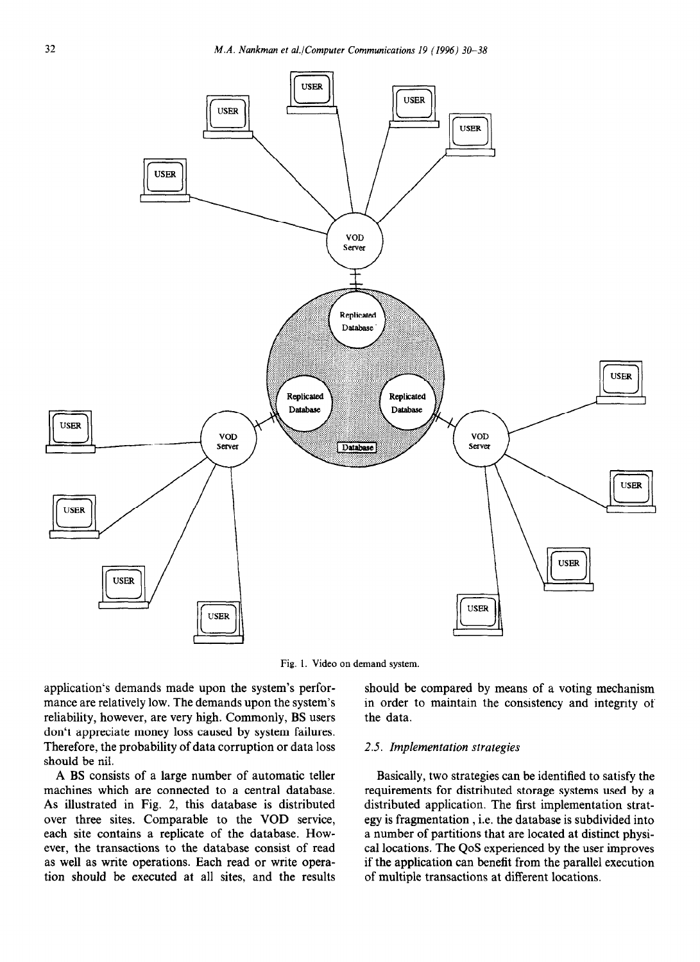

Fig. 1. Video on demand system.

application's demands made upon the system's performance are relatively low. The demands upon the system's reliability, however, are very high. Commonly, BS users don't appreciate money loss caused by system failures. Therefore, the probability of data corruption or data loss should be nil.

A BS consists of a large number of automatic teller machines which are connected to a central database. As illustrated in Fig. 2, this database is distributed over three sites. Comparable to the VOD service, each site contains a replicate of the database. However, the transactions to the database consist of read as well as write operations. Each read or write operation should be executed at all sites, and the results should be compared by means of a voting mechanism in order to maintain the consistency and integrity of the data.

#### 2.5. *Implementation strategies*

Basically, two strategies can be identified to satisfy the requirements for distributed storage systems used by a distributed application. The first implementation strategy is fragmentation , i.e. the database is subdivided into a number of partitions that are located at distinct physical locations. The QoS experienced by the user improves if the application can benefit from the parallel execution of multiple transactions at different locations.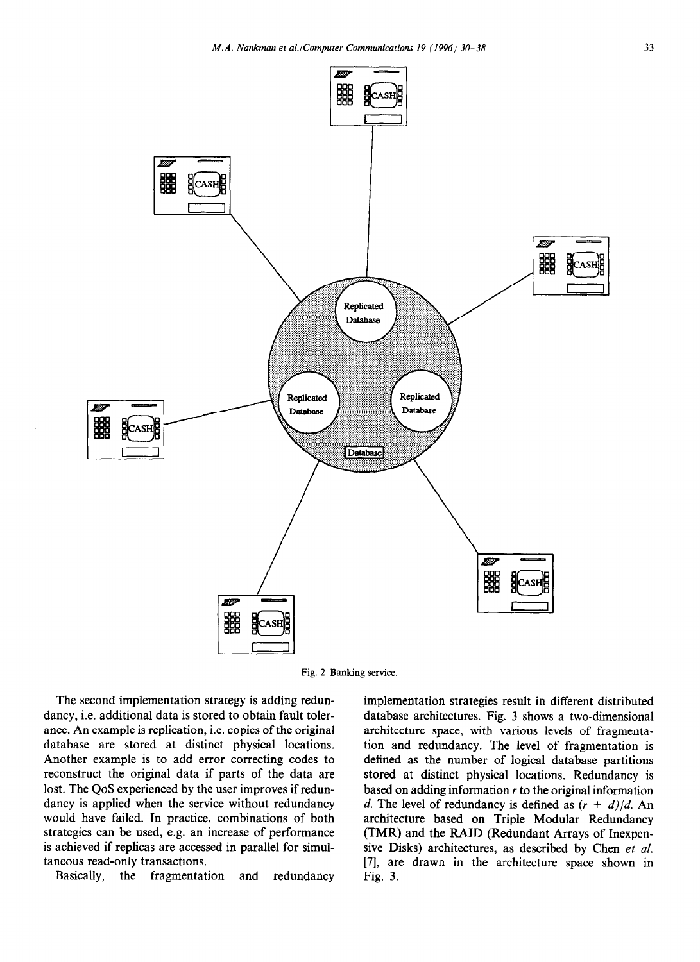

Fig. *2* Banking service.

The second implementation strategy is adding redundancy, i.e. additional data is stored to obtain fault tolerance. An example is replication, i.e. copies of the original database are stored at distinct physical locations. Another example is to add error correcting codes to reconstruct the original data if parts of the data are lost. The QoS experienced by the user improves if redundancy is applied when the service without redundancy would have failed. In practice, combinations of both strategies can be used, e.g. an increase of performance is achieved if replicas are accessed in parallel for simultaneous read-only transactions.

Basically, the fragmentation and redundancy

implementation strategies result in different distributed database architectures. Fig. 3 shows a two-dimensional architecture space, with various levels of fragmentation and redundancy. The level of fragmentation is defined as the number of logical database partitions stored at distinct physical locations. Redundancy is based on adding information r to the original information *d.* The level of redundancy is defined as  $(r + d)/d$ . An architecture based on Triple Modular Redundancy (TMR) and the RAID (Redundant Arrays of Inexpensive Disks) architectures, as described by Chen et al. [7], are drawn in the architecture space shown in Fig. 3.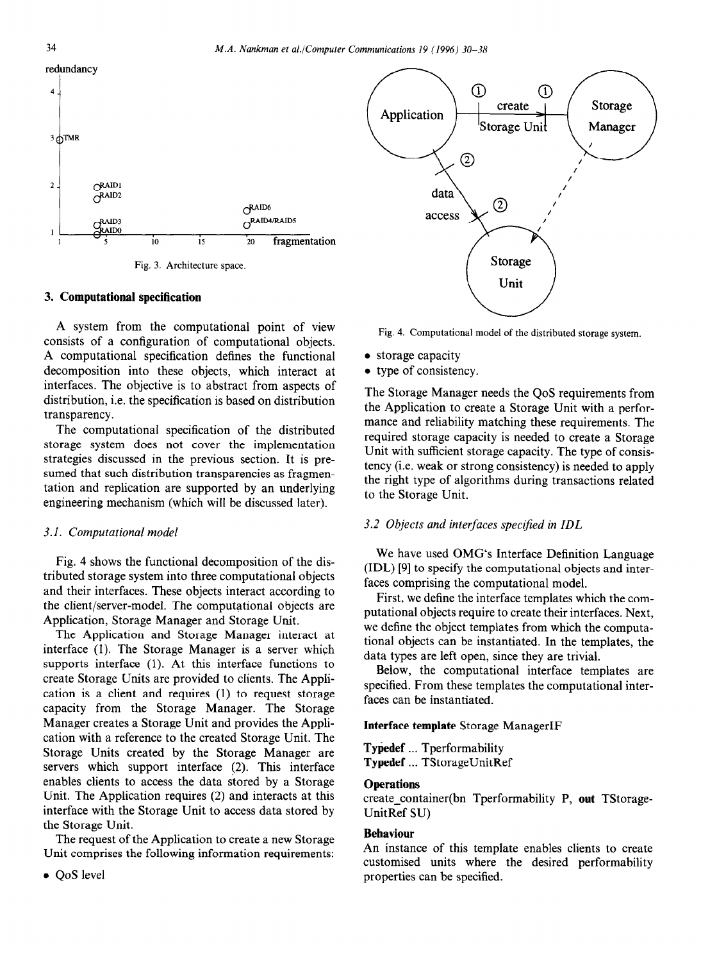

Fig. 3. Architecture space.

## **3. Computational specification**

A system from the computational point of view consists of a configuration of computational objects. A computational specification defines the functional decomposition into these objects, which interact at interfaces. The objective is to abstract from aspects of distribution, i.e. the specification is based on distribution transparency.

The computational specification of the distributed storage system does not cover the implementation strategies discussed in the previous section. It is presumed that such distribution transparencies as fragmentation and replication are supported by an underlying engineering mechanism (which will be discussed later).

# 3.1. *Computational model*

Fig. 4 shows the functional decomposition of the distributed storage system into three computational objects and their interfaces. These objects interact according to the client/server-model. The computational objects are Application, Storage Manager and Storage Unit.

The Application and Storage Manager interact at interface (1). The Storage Manager is a server which supports interface (1). At this interface functions to create Storage Units are provided to clients. The Application is a client and requires (1) to request storage capacity from the Storage Manager. The Storage Manager creates a Storage Unit and provides the Application with a reference to the created Storage Unit. The Storage Units created by the Storage Manager are servers which support interface (2). This interface enables clients to access the data stored by a Storage Unit. The Application requires (2) and interacts at this interface with the Storage Unit to access data stored by the Storage Unit.

The request of the Application to create a new Storage Unit comprises the following information requirements:



Fig. 4. Computational model of the distributed storage system

- storage capacity
- type of consistency.

The Storage Manager needs the QoS requirements from the Application to create a Storage Unit with a performance and reliability matching these requirements. The required storage capacity is needed to create a Storage Unit with sufficient storage capacity. The type of consistency (i.e. weak or strong consistency) is needed to apply the right type of algorithms during transactions related to the Storage Unit.

## 3.2 *Objects and interfaces specified in IDL*

We have used OMG's Interface Definition Language (IDL) [9] to specify the computational objects and interfaces comprising the computational model.

First, we define the interface templates which the computational objects require to create their interfaces. Next, we define the object templates from which the computational objects can be instantiated. In the templates, the data types are left open, since they are trivial.

Below, the computational interface templates are specified. From these templates the computational interfaces can be instantiated.

# **Interface template** Storage ManagerIF

**Typedef** ... Tperformability **Typedef** ... TStorageUnitRef

## **Operations**

create\_container(bn Tperformability P, **out** TStorage-UnitRef SU)

## **Behaviour**

An instance of this template enables clients to create customised units where the desired performability properties can be specified.

 $\bullet$  QoS level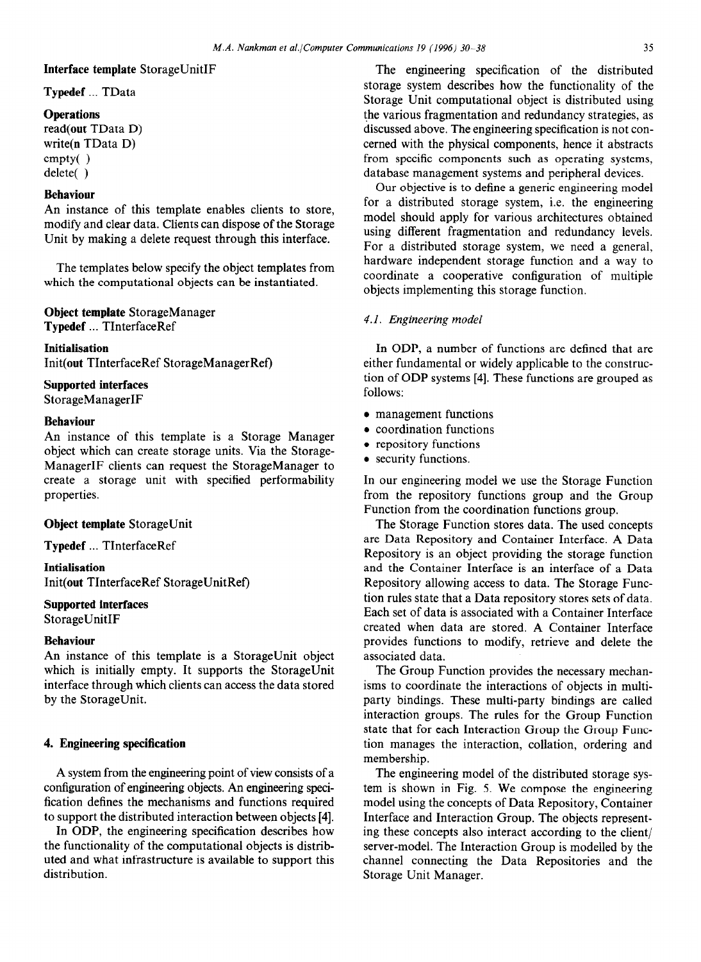# **Interface template** StorageUnitIF

**Typedef . . .** TData

# **Operations**

read(out TData D) write(n TData D) empty( ) delete( )

## **Behaviour**

An instance of this template enables clients to store, modify and clear data. Clients can dispose of the Storage Unit by making a delete request through this interface.

The templates below specify the object templates from which the computational objects can be instantiated.

**Object template** StorageManager **Typedef** ... TInterfaceRef

**Initialisation** 

Init(out TInterfaceRef StorageManagerRef)

# Supported **interfaces**

StorageManagerIF

#### Behaviour

An instance of this template is a Storage Manager object which can create storage units. Via the Storage-ManagerIF clients can request the StorageManager to create a storage unit with specified performability properties.

# Object template StorageUnit

Typedef ... TInterfaceRef

## Intialisation

Init(out TInterfaceRef StorageUnitRef)

#### Supported interfaces

StorageUnitIF

## Behaviour

An instance of this template is a StorageUnit object which is initially empty. It supports the StorageUnit interface through which clients can access the data stored by the StorageUnit.

## 4. Engineering specification

A system from the engineering point of view consists of a The engineering model of the distributed storage sys-<br>configuration of engineering objects. An engineering speci-<br>tem is shown in Fig. 5. We compose the engineering

the functionality of the computational objects is distrib-<br>uted and what infrastructure is available to support this channel connecting the Data Repositories and the uted and what infrastructure is available to support this channel connecting the Data Repositories and the distribution.

The engineering specification of the distributed storage system describes how the functionality of the Storage Unit computational object is distributed using the various fragmentation and redundancy strategies, as discussed above. The engineering specification is not concerned with the physical components, hence it abstracts from specific components such as operating systems, database management systems and peripheral devices.

Our objective is to define a generic engineering model for a distributed storage system, i.e. the engineering model should apply for various architectures obtained using different fragmentation and redundancy levels. For a distributed storage system, we need a general, hardware independent storage function and a way to coordinate a cooperative configuration of multiple objects implementing this storage function.

#### 4.1. *Engineering model*

In ODP, a number of functions are defined that are either fundamental or widely applicable to the construction of ODP systems [4]. These functions are grouped as follows:

- management functions
- coordination functions
- repository functions
- security functions.

In our engineering model we use the Storage Function from the repository functions group and the Group Function from the coordination functions group.

The Storage Function stores data. The used concepts are Data Repository and Container Interface. A Data Repository is an object providing the storage function and the Container Interface is an interface of a Data Repository allowing access to data. The Storage Function rules state that a Data repository stores sets of data. Each set of data is associated with a Container Interface created when data are stored. A Container Interface provides functions to modify, retrieve and delete the associated data.

The Group Function provides the necessary mechanisms to coordinate the interactions of objects in multiparty bindings. These multi-party bindings are called interaction groups. The rules for the Group Function state that for each Interaction Group the Group Function manages the interaction, collation, ordering and membership.

configuration of engineering objects. An engineering speci-<br>
fication defines the mechanisms and functions required model using the concepts of Data Repository. Container fication defines the mechanisms and functions required model using the concepts of Data Repository, Container<br>to support the distributed interaction between objects [4]. Interface and Interaction Group. The objects represe support the distributed interaction between objects [4]. Interface and Interaction Group. The objects represent-<br>In ODP, the engineering specification describes how ing these concepts also interact according to the client/ In ODP, the engineering specification describes how ing these concepts also interact according to the client/<br>the functionality of the computational objects is distrib-<br>server-model. The Interaction Group is modelled by th Storage Unit Manager.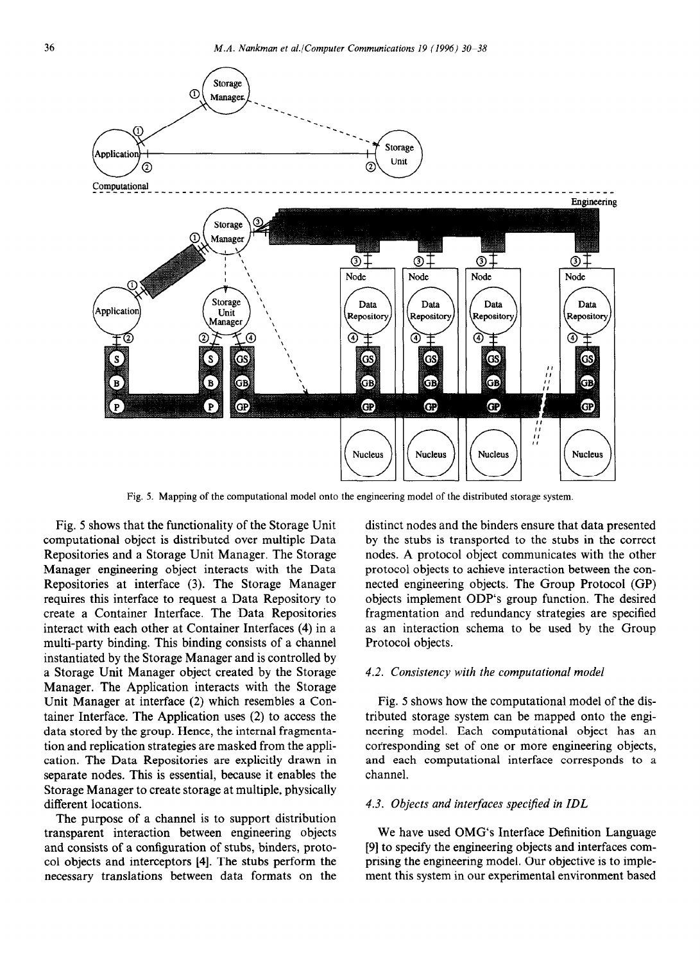

Fig. 5 shows that the functionality of the Storage Unit computational object is distributed over multiple Data Repositories and a Storage Unit Manager. The Storage Manager engineering object interacts with the Data Repositories at interface (3). The Storage Manager requires this interface to request a Data Repository to create a Container Interface. The Data Repositories interact with each other at Container Interfaces (4) in a multi-party binding. This binding consists of a channel instantiated by the Storage Manager and is controlled by a Storage Unit Manager object created by the Storage Manager. The Application interacts with the Storage Unit Manager at interface (2) which resembles a Container Interface. The Application uses (2) to access the data stored by the group. Hence, the internal fragmentation and replication strategies are masked from the application. The Data Repositories are explicitly drawn in separate nodes. This is essential, because it enables the Storage Manager to create storage at multiple, physically different locations.

The purpose of a channel is to support distribution transparent interaction between engineering objects and consists of a configuration of stubs, binders, protocol objects and interceptors [4]. The stubs perform the necessary translations between data formats on the

distinct nodes and the binders ensure that data presented by the stubs is transported to the stubs in the correct nodes. A protocol object communicates with the other protocol objects to achieve interaction between the connected engineering objects. The Group Protocol (GP) objects implement ODP's group function. The desired fragmentation and redundancy strategies are specified as an interaction schema to be used by the Group Protocol objects.

#### 4.2. *Consistency with the computational model*

Fig. 5 shows how the computational model of the distributed storage system can be mapped onto the engineering model. Each computational object has an corresponding set of one or more engineering objects, and each computational interface corresponds to a channel.

# 4.3. *Objects and interfaces specljied in IDL*

We have used OMG's Interface Definition Language [9] to specify the engineering objects and interfaces comprising the engineering model. Our objective is to implement this system in our experimental environment based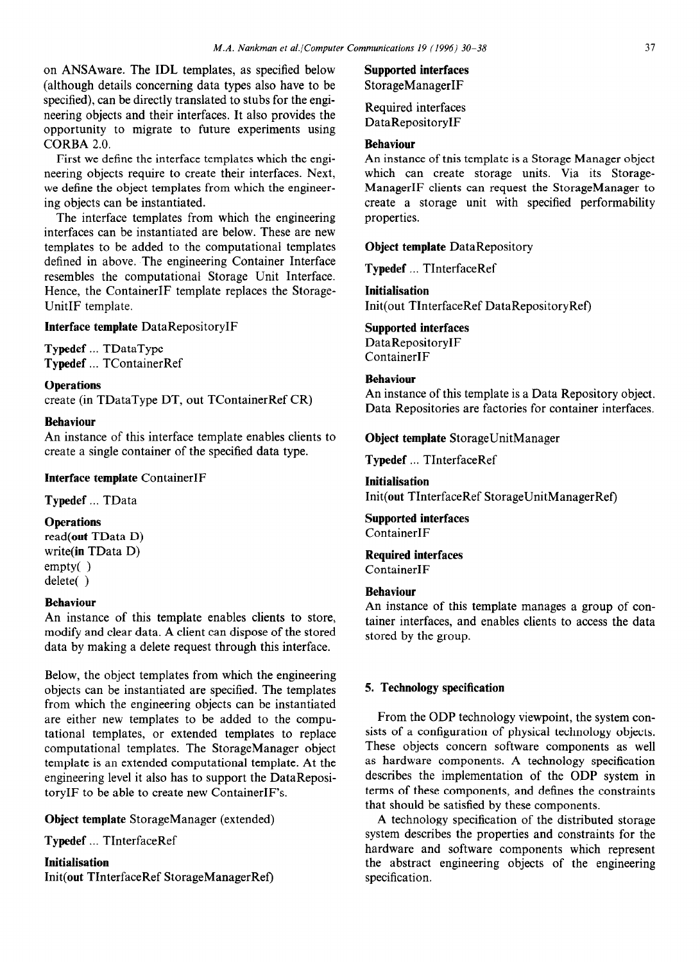on ANSAware. The IDL templates, as specified below (although details concerning data types also have to be specified), can be directly translated to stubs for the engineering objects and their interfaces. It also provides the opportunity to migrate to future experiments using CORBA 2.0.

First we define the interface templates which the engineering objects require to create their interfaces. Next, we define the object templates from which the engineering objects can be instantiated.

The interface templates from which the engineering interfaces can be instantiated are below. These are new templates to be added to the computational templates defined in above. The engineering Container Interface resembles the computational Storage Unit Interface. Hence, the ContainerIF template replaces the Storage-UnitIF template.

**Interface template** DataRepositoryIF

**Typedef** ... **TDataType Typedef** ... TContainerRef

## **Operations**

create (in TDataType DT, out TContainerRef CR)

#### **Behaviour**

An instance of this interface template enables clients to create a single container of the specified data type.

## **Interface template** ContainerIF

**Typedef** ... **TData** 

# **Operations**

read(out TData D) write(in TData D) empty( ) delete( )

#### Behaviour

An instance of this template enables clients to store, modify and clear data. A client can dispose of the stored data by making a delete request through this interface.

Below, the object templates from which the engineering objects can be instantiated are specified. The templates from which the engineering objects can be instantiated are either new templates to be added to the computational templates, or extended templates to replace computational templates. The StorageManager object template is an extended computational template. At the engineering level it also has to support the DataRepositoryIF to be able to create new ContainerIF's.

Object template StorageManager (extended)

Typedef ... TInterfaceRef

Initialisation Init(out TInterfaceRef StorageManagerRef) **Supported interfaces**  StorageManagerIF

Required interfaces DataRepositoryIF

#### Behaviour

An instance of tnis template is a Storage Manager object which can create storage units. Via its Storage-ManagerIF clients can request the StorageManager to create a storage unit with specified performability properties.

## Object template DataRepository

Typedef ... TInterfaceRef

# **Initialisation**

Init(out TInterfaceRef DataRepositoryRef)

# Supported interfaces

DataRepositoryIF ContainerIF

# Behaviour

An instance of this template is a Data Repository object. Data Repositories are factories for container interfaces.

Object template StorageUnitManager

Typedef ... TInterfaceRef

Initialisation Init(out TInterfaceRef StorageUnitManagerRef)

Supported interfaces ContainerIF

Required interfaces ContainerIF

#### Behaviour

An instance of this template manages a group of container interfaces, and enables clients to access the data stored by the group.

# 5. Technology specification

From the ODP technology viewpoint, the system consists of a configuration of physical technology objects. These objects concern software components as well as hardware components. A technology specification describes the implementation of the ODP system in terms of these components, and defines the constraints that should be satisfied by these components.

A technology specification of the distributed storage system describes the properties and constraints for the hardware and software components which represent the abstract engineering objects of the engineering specification.